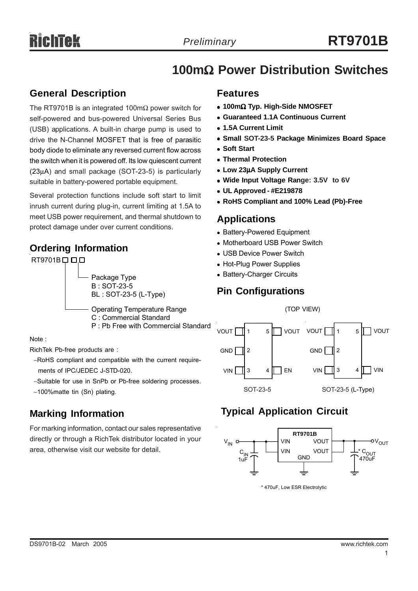## **100m**Ω **Power Distribution Switches**

## **General Description**

The RT9701B is an integrated 100mΩ power switch for self-powered and bus-powered Universal Series Bus (USB) applications. A built-in charge pump is used to drive the N-Channel MOSFET that is free of parasitic body diode to eliminate any reversed current flow across the switch when it is powered off. Its low quiescent current (23µA) and small package (SOT-23-5) is particularly suitable in battery-powered portable equipment.

Several protection functions include soft start to limit inrush current during plug-in, current limiting at 1.5A to meet USB power requirement, and thermal shutdown to protect damage under over current conditions.

## **Ordering Information**



### Note :

RichTek Pb-free products are :

- −RoHS compliant and compatible with the current require ments of IPC/JEDEC J-STD-020.
- −Suitable for use in SnPb or Pb-free soldering processes.
- −100%matte tin (Sn) plating.

## **Marking Information**

For marking information, contact our sales representative directly or through a RichTek distributor located in your area, otherwise visit our website for detail.

### **Features**

- <sup>z</sup> **100m**Ω **Typ. High-Side NMOSFET**
- <sup>z</sup> **Guaranteed 1.1A Continuous Current**
- <sup>z</sup> **1.5A Current Limit**
- **Small SOT-23-5 Package Minimizes Board Space**
- **Soft Start**
- <sup>z</sup> **Thermal Protection**
- <sup>z</sup> **Low 23**µ**A Supply Current**
- Wide Input Voltage Range: 3.5V to 6V
- <sup>z</sup> **UL Approved #E219878**
- <sup>z</sup> **RoHS Compliant and 100% Lead (Pb)-Free**

### **Applications**

- Battery-Powered Equipment
- Motherboard USB Power Switch
- USB Device Power Switch
- Hot-Plug Power Supplies
- Battery-Charger Circuits

## **Pin Configurations**



## **Typical Application Circuit**



\* 470uF, Low ESR Electrolytic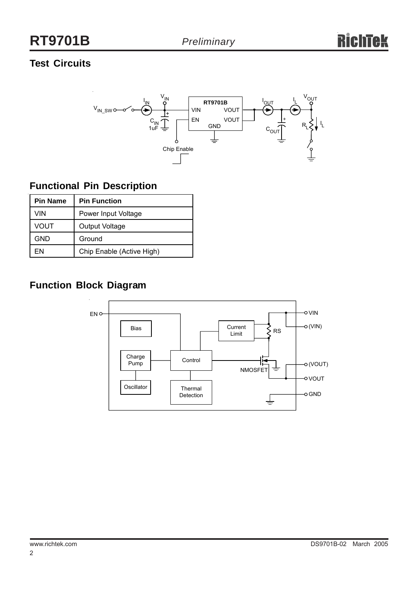## **RT9701B**

## **Test Circuits**



## **Functional Pin Description**

| <b>Pin Name</b> | <b>Pin Function</b>       |
|-----------------|---------------------------|
| VIN             | Power Input Voltage       |
| VOUT            | Output Voltage            |
| GND             | Ground                    |
| FN              | Chip Enable (Active High) |

## **Function Block Diagram**

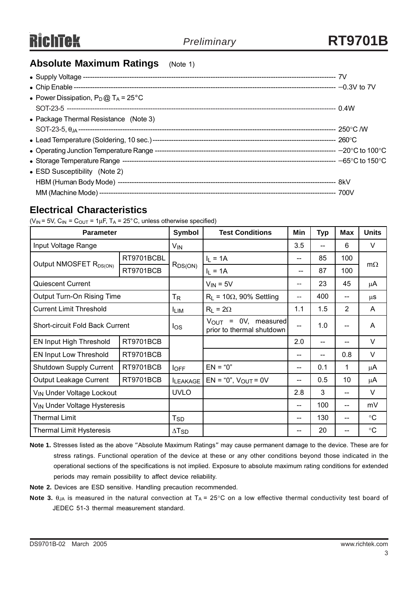## **Absolute Maximum Ratings** (Note 1)

### **Electrical Characteristics**

( $V_{IN}$  = 5V,  $C_{IN}$  =  $C_{OUT}$  = 1µF,  $T_A$  = 25°C, unless otherwise specified)

| <b>Parameter</b>                         |            | <b>Symbol</b>            | <b>Test Conditions</b>                                       | Min                                   | <b>Typ</b> | <b>Max</b>     | <b>Units</b>    |
|------------------------------------------|------------|--------------------------|--------------------------------------------------------------|---------------------------------------|------------|----------------|-----------------|
| Input Voltage Range                      |            | $V_{IN}$                 |                                                              | 3.5                                   | --         | 6              | V               |
| Output NMOSFET R <sub>DS(ON)</sub>       | RT9701BCBL |                          | $I_L = 1A$                                                   | --                                    | 85         | 100            | $m\Omega$       |
|                                          | RT9701BCB  | $R_{DS(ON)}$             | $I_1 = 1A$                                                   | --                                    | 87         | 100            |                 |
| <b>Quiescent Current</b>                 |            |                          | $V_{IN} = 5V$                                                | $- -$                                 | 23         | 45             | μA              |
| Output Turn-On Rising Time               |            | $T_R$                    | $R_L$ = 10 $\Omega$ , 90% Settling                           | $- -$                                 | 400        | $-$            | μS              |
| <b>Current Limit Threshold</b>           |            | <b>LIM</b>               | $R_L = 2\Omega$                                              | 1.1                                   | 1.5        | $\overline{2}$ | A               |
| <b>Short-circuit Fold Back Current</b>   |            | $\log$                   | $V_{\text{OUT}}$ = 0V, measured<br>prior to thermal shutdown | $-$                                   | 1.0        | --             | A               |
| EN Input High Threshold                  | RT9701BCB  |                          |                                                              | 2.0                                   | --         |                | V               |
| EN Input Low Threshold                   | RT9701BCB  |                          |                                                              | --                                    | --         | 0.8            | V               |
| Shutdown Supply Current                  | RT9701BCB  | $I_{OFF}$                | $EN = "0"$                                                   | --                                    | 0.1        | 1              | μA              |
| Output Leakage Current                   | RT9701BCB  | <b>ILEAKAGE</b>          | $EN = "0", VOUT = 0V$                                        | $\hspace{0.05cm}$ – $\hspace{0.05cm}$ | 0.5        | 10             | μA              |
| V <sub>IN</sub> Under Voltage Lockout    |            | <b>UVLO</b>              |                                                              | 2.8                                   | 3          |                | V               |
| V <sub>IN</sub> Under Voltage Hysteresis |            |                          |                                                              | $\qquad \qquad -$                     | 100        | $-$            | mV              |
| <b>Thermal Limit</b>                     |            | $T_{SD}$                 |                                                              | --                                    | 130        | --             | $\rm ^{\circ}C$ |
| <b>Thermal Limit Hysteresis</b>          |            | $\Delta$ T <sub>SD</sub> |                                                              |                                       | 20         |                | $\circ$ C       |

**Note 1.** Stresses listed as the above "Absolute Maximum Ratings" may cause permanent damage to the device. These are for stress ratings. Functional operation of the device at these or any other conditions beyond those indicated in the operational sections of the specifications is not implied. Exposure to absolute maximum rating conditions for extended periods may remain possibility to affect device reliability.

- **Note 2.** Devices are ESD sensitive. Handling precaution recommended.
- **Note 3.**  $\theta_{JA}$  is measured in the natural convection at  $T_A = 25^{\circ}$ C on a low effective thermal conductivity test board of JEDEC 51-3 thermal measurement standard.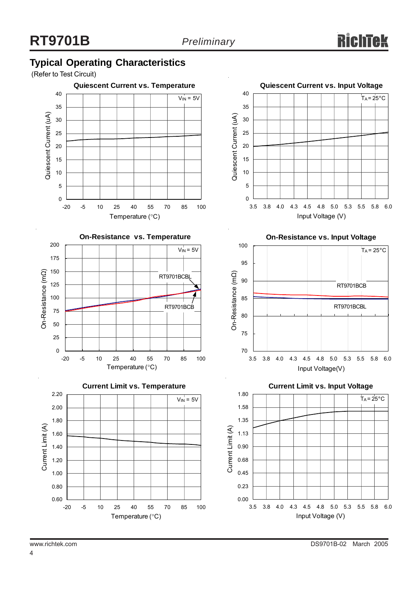## **Typical Operating Characteristics**

(Refer to Test Circuit)

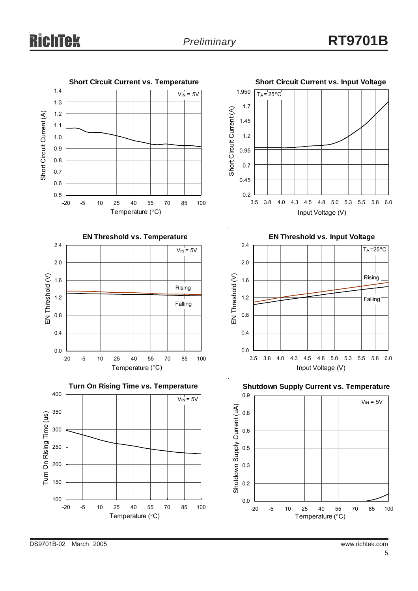# chtek

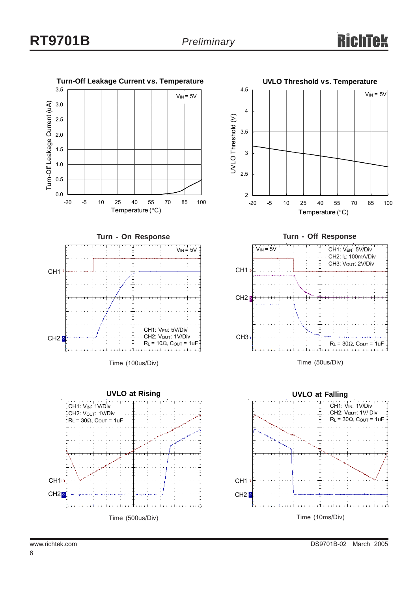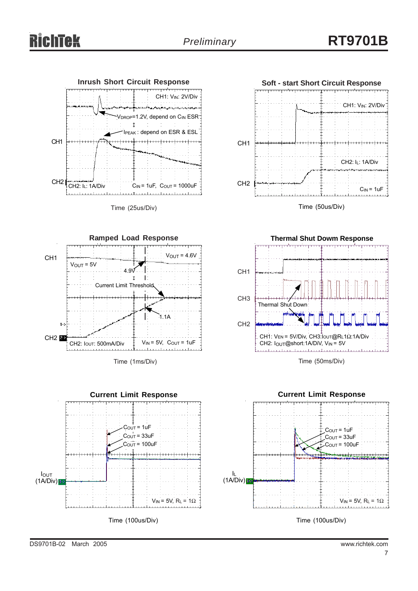

Time (25us/Div)



Time (1ms/Div)





Time (50us/Div)



Time (50ms/Div)



Time (100us/Div)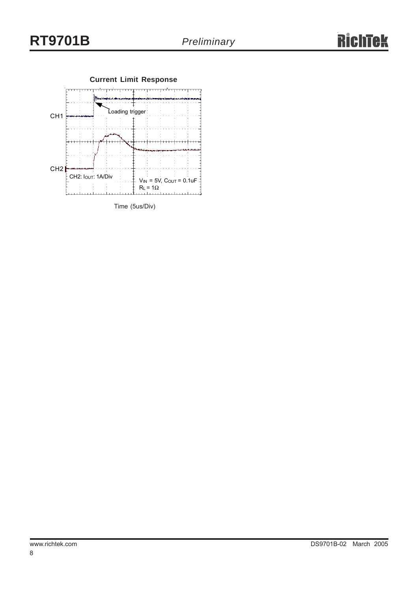

Time (5us/Div)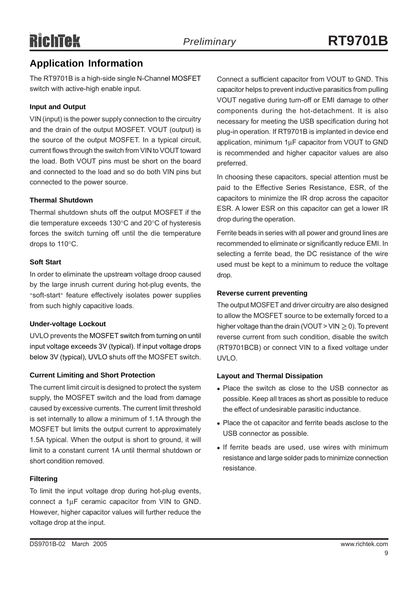## **Application Information**

The RT9701B is a high-side single N-Channel MOSFET switch with active-high enable input.

### **Input and Output**

VIN (input) is the power supply connection to the circuitry and the drain of the output MOSFET. VOUT (output) is the source of the output MOSFET. In a typical circuit, current flows through the switch from VIN to VOUT toward the load. Both VOUT pins must be short on the board and connected to the load and so do both VIN pins but connected to the power source.

### **Thermal Shutdown**

Thermal shutdown shuts off the output MOSFET if the die temperature exceeds 130°C and 20°C of hysteresis forces the switch turning off until the die temperature drops to 110°C.

### **Soft Start**

In order to eliminate the upstream voltage droop caused by the large inrush current during hot-plug events, the "soft-start" feature effectively isolates power supplies from such highly capacitive loads.

### **Under-voltage Lockout**

UVLO prevents the MOSFET switch from turning on until input voltage exceeds 3V (typical). If input voltage drops below 3V (typical), UVLO shuts off the MOSFET switch.

### **Current Limiting and Short Protection**

The current limit circuit is designed to protect the system supply, the MOSFET switch and the load from damage caused by excessive currents. The current limit threshold is set internally to allow a minimum of 1.1A through the MOSFET but limits the output current to approximately 1.5A typical. When the output is short to ground, it will limit to a constant current 1A until thermal shutdown or short condition removed.

### **Filtering**

To limit the input voltage drop during hot-plug events, connect a 1µF ceramic capacitor from VIN to GND. However, higher capacitor values will further reduce the voltage drop at the input.

Connect a sufficient capacitor from VOUT to GND. This capacitor helps to prevent inductive parasitics from pulling VOUT negative during turn-off or EMI damage to other components during the hot-detachment. It is also necessary for meeting the USB specification during hot plug-in operation. If RT9701B is implanted in device end application, minimum 1µF capacitor from VOUT to GND is recommended and higher capacitor values are also preferred.

In choosing these capacitors, special attention must be paid to the Effective Series Resistance, ESR, of the capacitors to minimize the IR drop across the capacitor ESR. A lower ESR on this capacitor can get a lower IR drop during the operation.

Ferrite beads in series with all power and ground lines are recommended to eliminate or significantly reduce EMI. In selecting a ferrite bead, the DC resistance of the wire used must be kept to a minimum to reduce the voltage drop.

### **Reverse current preventing**

The output MOSFET and driver circuitry are also designed to allow the MOSFET source to be externally forced to a higher voltage than the drain (VOUT > VIN  $\geq$  0). To prevent reverse current from such condition, disable the switch (RT9701BCB) or connect VIN to a fixed voltage under UVLO.

### **Layout and Thermal Dissipation**

- Place the switch as close to the USB connector as possible. Keep all traces as short as possible to reduce the effect of undesirable parasitic inductance.
- Place the ot capacitor and ferrite beads asclose to the USB connector as possible.
- If ferrite beads are used, use wires with minimum resistance and large solder pads to minimize connection resistance.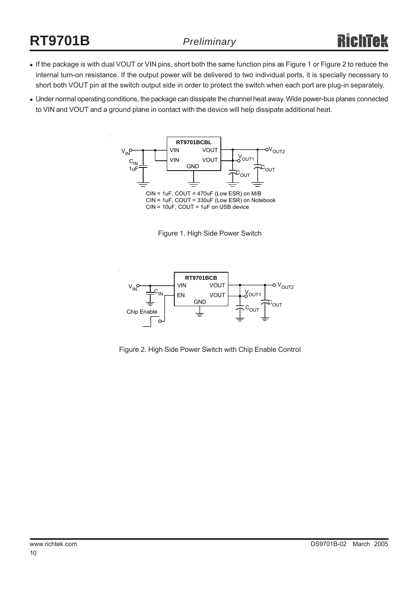# **RT9701B**

- If the package is with dual VOUT or VIN pins, short both the same function pins as Figure 1 or Figure 2 to reduce the internal turn-on resistance. If the output power will be delivered to two individual ports, it is specially necessary to short both VOUT pin at the switch output side in order to protect the switch when each port are plug-in separately.
- Under normal operating conditions, the package can dissipate the channel heat away. Wide power-bus planes connected to VIN and VOUT and a ground plane in contact with the device will help dissipate additional heat.



Figure 1. High Side Power Switch



Figure 2. High Side Power Switch with Chip Enable Control